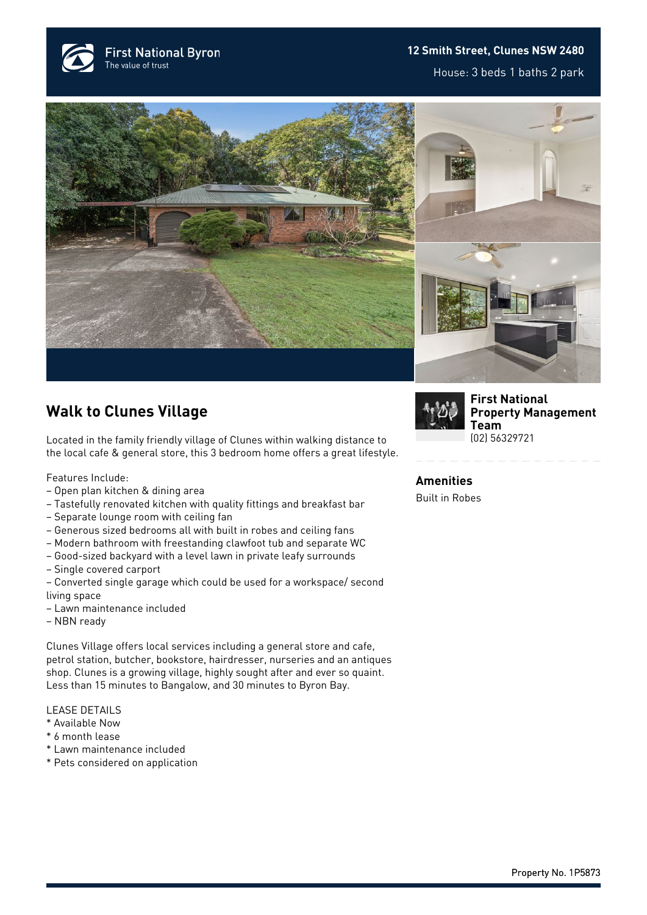

## **12 Smith Street, Clunes NSW 2480**

House: 3 beds 1 baths 2 park





## **Walk to Clunes Village**

Located in the family friendly village of Clunes within walking distance to the local cafe & general store, this 3 bedroom home offers a great lifestyle.

Features Include:

- Open plan kitchen & dining area
- Tastefully renovated kitchen with quality fittings and breakfast bar
- Separate lounge room with ceiling fan
- Generous sized bedrooms all with built in robes and ceiling fans
- Modern bathroom with freestanding clawfoot tub and separate WC
- Good-sized backyard with a level lawn in private leafy surrounds
- Single covered carport
- Converted single garage which could be used for a workspace/ second living space
- Lawn maintenance included
- NBN ready

Clunes Village offers local services including a general store and cafe, petrol station, butcher, bookstore, hairdresser, nurseries and an antiques shop. Clunes is a growing village, highly sought after and ever so quaint. Less than 15 minutes to Bangalow, and 30 minutes to Byron Bay.

## LEASE DETAILS

- \* Available Now
- \* 6 month lease
- \* Lawn maintenance included
- \* Pets considered on application



**[First National](https://www.byronbayfn.com.au/agents/first-national-property-management-team/) [Property Management](https://www.byronbayfn.com.au/agents/first-national-property-management-team/) [Team](https://www.byronbayfn.com.au/agents/first-national-property-management-team/)** [\(02\) 56329721](#page--1-0)

**Amenities** Built in Robes